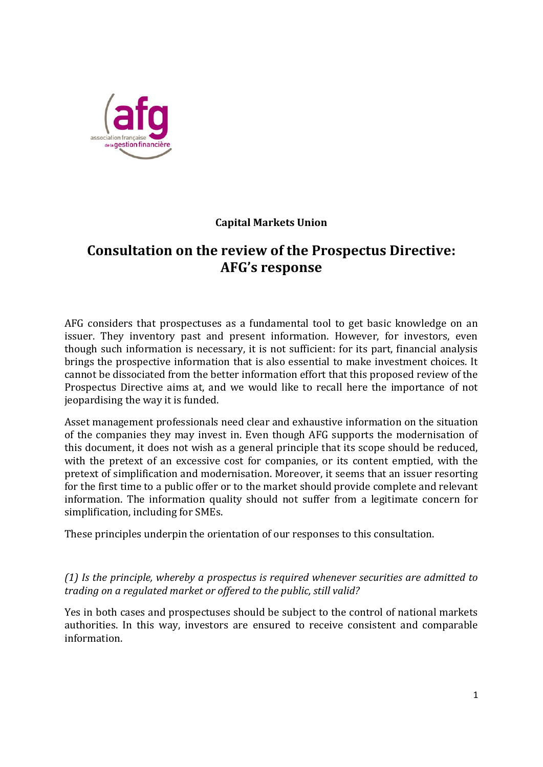

## **Capital Markets Union**

## **Consultation on the review of the Prospectus Directive: AFG's response**

AFG considers that prospectuses as a fundamental tool to get basic knowledge on an issuer. They inventory past and present information. However, for investors, even though such information is necessary, it is not sufficient: for its part, financial analysis brings the prospective information that is also essential to make investment choices. It cannot be dissociated from the better information effort that this proposed review of the Prospectus Directive aims at, and we would like to recall here the importance of not jeopardising the way it is funded.

Asset management professionals need clear and exhaustive information on the situation of the companies they may invest in. Even though AFG supports the modernisation of this document, it does not wish as a general principle that its scope should be reduced, with the pretext of an excessive cost for companies, or its content emptied, with the pretext of simplification and modernisation. Moreover, it seems that an issuer resorting for the first time to a public offer or to the market should provide complete and relevant information. The information quality should not suffer from a legitimate concern for simplification, including for SMEs.

These principles underpin the orientation of our responses to this consultation.

*(1) Is the principle, whereby a prospectus is required whenever securities are admitted to trading on a regulated market or offered to the public, still valid?* 

Yes in both cases and prospectuses should be subject to the control of national markets authorities. In this way, investors are ensured to receive consistent and comparable information.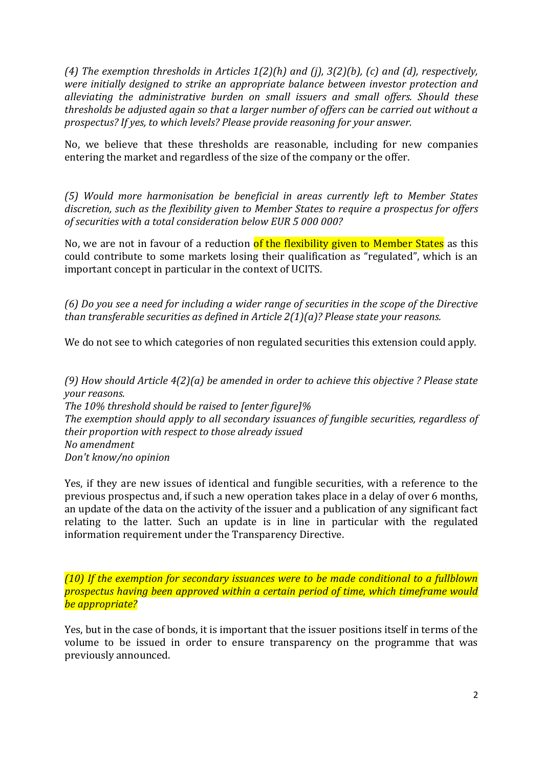*(4) The exemption thresholds in Articles 1(2)(h) and (j), 3(2)(b), (c) and (d), respectively, were initially designed to strike an appropriate balance between investor protection and alleviating the administrative burden on small issuers and small offers. Should these thresholds be adjusted again so that a larger number of offers can be carried out without a prospectus? If yes, to which levels? Please provide reasoning for your answer.*

No, we believe that these thresholds are reasonable, including for new companies entering the market and regardless of the size of the company or the offer.

*(5) Would more harmonisation be beneficial in areas currently left to Member States discretion, such as the flexibility given to Member States to require a prospectus for offers of securities with a total consideration below EUR 5 000 000?*

No, we are not in favour of a reduction of the flexibility given to Member States as this could contribute to some markets losing their qualification as "regulated", which is an important concept in particular in the context of UCITS.

*(6) Do you see a need for including a wider range of securities in the scope of the Directive than transferable securities as defined in Article 2(1)(a)? Please state your reasons.*

We do not see to which categories of non regulated securities this extension could apply.

*(9) How should Article 4(2)(a) be amended in order to achieve this objective ? Please state your reasons. The 10% threshold should be raised to [enter figure]% The exemption should apply to all secondary issuances of fungible securities, regardless of their proportion with respect to those already issued No amendment Don't know/no opinion*

Yes, if they are new issues of identical and fungible securities, with a reference to the previous prospectus and, if such a new operation takes place in a delay of over 6 months, an update of the data on the activity of the issuer and a publication of any significant fact relating to the latter. Such an update is in line in particular with the regulated information requirement under the Transparency Directive.

*(10) If the exemption for secondary issuances were to be made conditional to a fullblown prospectus having been approved within a certain period of time, which timeframe would be appropriate?*

Yes, but in the case of bonds, it is important that the issuer positions itself in terms of the volume to be issued in order to ensure transparency on the programme that was previously announced.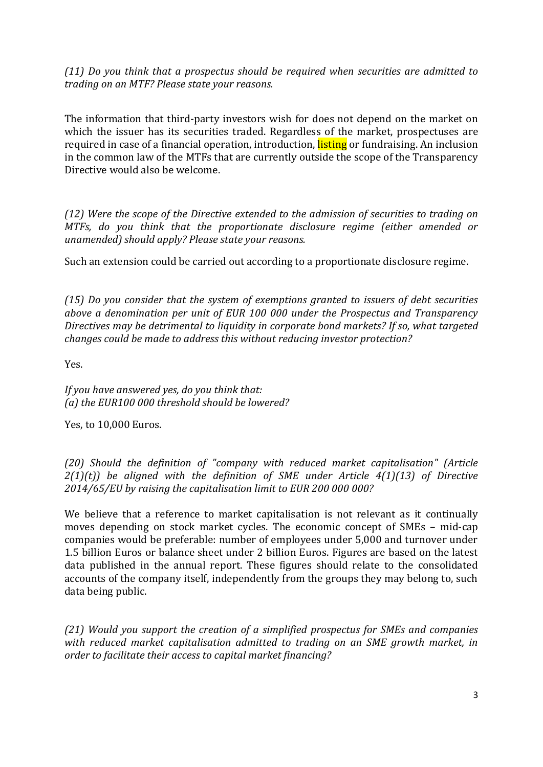*(11) Do you think that a prospectus should be required when securities are admitted to trading on an MTF? Please state your reasons.*

The information that third-party investors wish for does not depend on the market on which the issuer has its securities traded. Regardless of the market, prospectuses are required in case of a financial operation, introduction, **listing** or fundraising. An inclusion in the common law of the MTFs that are currently outside the scope of the Transparency Directive would also be welcome.

*(12) Were the scope of the Directive extended to the admission of securities to trading on MTFs, do you think that the proportionate disclosure regime (either amended or unamended) should apply? Please state your reasons.*

Such an extension could be carried out according to a proportionate disclosure regime.

*(15) Do you consider that the system of exemptions granted to issuers of debt securities above a denomination per unit of EUR 100 000 under the Prospectus and Transparency Directives may be detrimental to liquidity in corporate bond markets? If so, what targeted changes could be made to address this without reducing investor protection?*

Yes.

*If you have answered yes, do you think that: (a) the EUR100 000 threshold should be lowered?*

Yes, to 10,000 Euros.

*(20) Should the definition of "company with reduced market capitalisation" (Article 2(1)(t)) be aligned with the definition of SME under Article 4(1)(13) of Directive 2014/65/EU by raising the capitalisation limit to EUR 200 000 000?*

We believe that a reference to market capitalisation is not relevant as it continually moves depending on stock market cycles. The economic concept of SMEs – mid-cap companies would be preferable: number of employees under 5,000 and turnover under 1.5 billion Euros or balance sheet under 2 billion Euros. Figures are based on the latest data published in the annual report. These figures should relate to the consolidated accounts of the company itself, independently from the groups they may belong to, such data being public.

*(21) Would you support the creation of a simplified prospectus for SMEs and companies with reduced market capitalisation admitted to trading on an SME growth market, in order to facilitate their access to capital market financing?*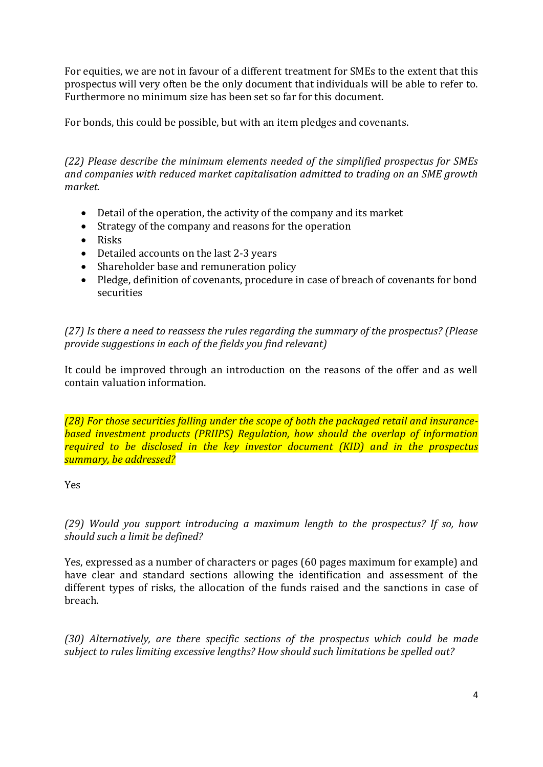For equities, we are not in favour of a different treatment for SMEs to the extent that this prospectus will very often be the only document that individuals will be able to refer to. Furthermore no minimum size has been set so far for this document.

For bonds, this could be possible, but with an item pledges and covenants.

*(22) Please describe the minimum elements needed of the simplified prospectus for SMEs and companies with reduced market capitalisation admitted to trading on an SME growth market.*

- Detail of the operation, the activity of the company and its market
- Strategy of the company and reasons for the operation
- Risks
- Detailed accounts on the last 2-3 years
- Shareholder base and remuneration policy
- Pledge, definition of covenants, procedure in case of breach of covenants for bond securities

*(27) Is there a need to reassess the rules regarding the summary of the prospectus? (Please provide suggestions in each of the fields you find relevant)* 

It could be improved through an introduction on the reasons of the offer and as well contain valuation information.

*(28) For those securities falling under the scope of both the packaged retail and insurancebased investment products (PRIIPS) Regulation, how should the overlap of information required to be disclosed in the key investor document (KID) and in the prospectus summary, be addressed?*

## Yes

*(29) Would you support introducing a maximum length to the prospectus? If so, how should such a limit be defined?*

Yes, expressed as a number of characters or pages (60 pages maximum for example) and have clear and standard sections allowing the identification and assessment of the different types of risks, the allocation of the funds raised and the sanctions in case of breach.

*(30) Alternatively, are there specific sections of the prospectus which could be made subject to rules limiting excessive lengths? How should such limitations be spelled out?*